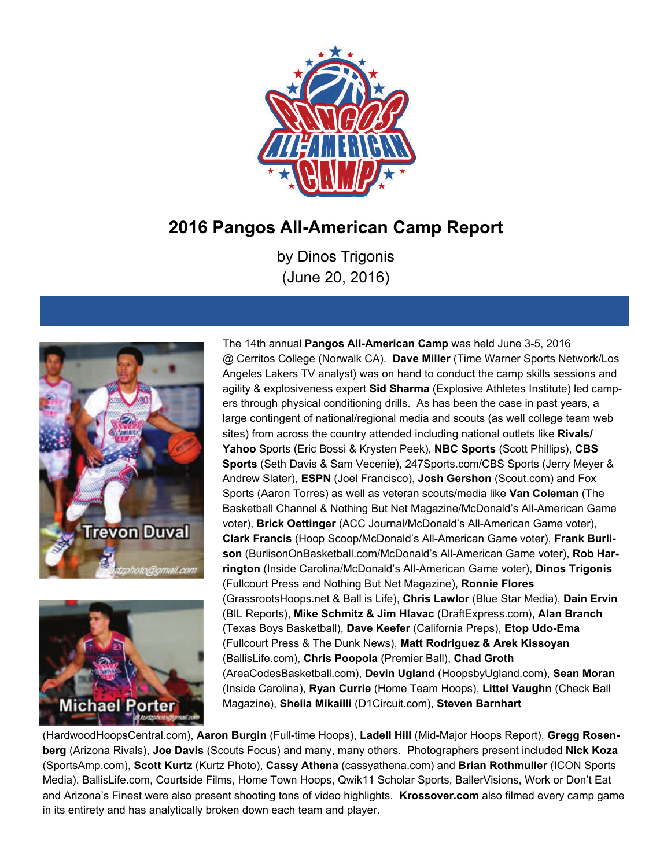

# **2016 Pangos All-American Camp Report**

by Dinos Trigonis (June 20, 2016)





The 14th annual **Pangos All-American Camp** was held June 3-5, 2016 @ Cerritos College (Norwalk CA). **Dave Miller** (Time Warner Sports Network/Los Angeles Lakers TV analyst) was on hand to conduct the camp skills sessions and agility & explosiveness expert **Sid Sharma** (Explosive Athletes Institute) led campers through physical conditioning drills. As has been the case in past years, a large contingent of national/regional media and scouts (as well college team web sites) from across the country attended including national outlets like **Rivals/ Yahoo** Sports (Eric Bossi & Krysten Peek), **NBC Sports** (Scott Phillips), **CBS Sports** (Seth Davis & Sam Vecenie), 247Sports.com/CBS Sports (Jerry Meyer & Andrew Slater), **ESPN** (Joel Francisco), **Josh Gershon** (Scout.com) and Fox Sports (Aaron Torres) as well as veteran scouts/media like **Van Coleman** (The Basketball Channel & Nothing But Net Magazine/McDonald's All-American Game voter), **Brick Oettinger** (ACC Journal/McDonald's All-American Game voter), **Clark Francis** (Hoop Scoop/McDonald's All-American Game voter), **Frank Burlison** (BurlisonOnBasketball.com/McDonald's All-American Game voter), **Rob Harrington** (Inside Carolina/McDonald's All-American Game voter), **Dinos Trigonis**  (Fullcourt Press and Nothing But Net Magazine), **Ronnie Flores**  (GrassrootsHoops.net & Ball is Life), **Chris Lawlor** (Blue Star Media), **Dain Ervin**  (BIL Reports), **Mike Schmitz & Jim Hlavac** (DraftExpress.com), **Alan Branch**  (Texas Boys Basketball), **Dave Keefer** (California Preps), **Etop Udo-Ema**  (Fullcourt Press & The Dunk News), **Matt Rodriguez & Arek Kissoyan**  (BallisLife.com), **Chris Poopola** (Premier Ball), **Chad Groth**  (AreaCodesBasketball.com), **Devin Ugland** (HoopsbyUgland.com), **Sean Moran**  (Inside Carolina), **Ryan Currie** (Home Team Hoops), **Littel Vaughn** (Check Ball Magazine), **Sheila Mikailli** (D1Circuit.com), **Steven Barnhart** 

(HardwoodHoopsCentral.com), **Aaron Burgin** (Full-time Hoops), **Ladell Hill** (Mid-Major Hoops Report), **Gregg Rosenberg** (Arizona Rivals), **Joe Davis** (Scouts Focus) and many, many others. Photographers present included **Nick Koza**  (SportsAmp.com), **Scott Kurtz** (Kurtz Photo), **Cassy Athena** (cassyathena.com) and **Brian Rothmuller** (ICON Sports Media). BallisLife.com, Courtside Films, Home Town Hoops, Qwik11 Scholar Sports, BallerVisions, Work or Don't Eat and Arizona's Finest were also present shooting tons of video highlights. **Krossover.com** also filmed every camp game in its entirety and has analytically broken down each team and player.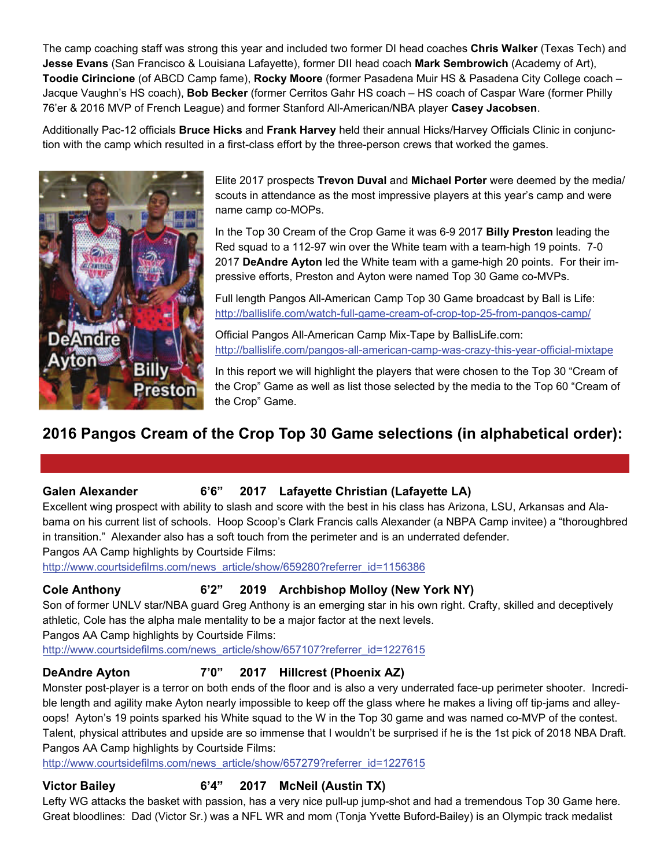The camp coaching staff was strong this year and included two former DI head coaches **Chris Walker** (Texas Tech) and **Jesse Evans** (San Francisco & Louisiana Lafayette), former DII head coach **Mark Sembrowich** (Academy of Art), **Toodie Cirincione** (of ABCD Camp fame), **Rocky Moore** (former Pasadena Muir HS & Pasadena City College coach – Jacque Vaughn's HS coach), **Bob Becker** (former Cerritos Gahr HS coach – HS coach of Caspar Ware (former Philly 76'er & 2016 MVP of French League) and former Stanford All-American/NBA player **Casey Jacobsen**.

Additionally Pac-12 officials **Bruce Hicks** and **Frank Harvey** held their annual Hicks/Harvey Officials Clinic in conjunction with the camp which resulted in a first-class effort by the three-person crews that worked the games.



Elite 2017 prospects **Trevon Duval** and **Michael Porter** were deemed by the media/ scouts in attendance as the most impressive players at this year's camp and were name camp co-MOPs.

In the Top 30 Cream of the Crop Game it was 6-9 2017 **Billy Preston** leading the Red squad to a 112-97 win over the White team with a team-high 19 points. 7-0 2017 **DeAndre Ayton** led the White team with a game-high 20 points. For their impressive efforts, Preston and Ayton were named Top 30 Game co-MVPs.

Full length Pangos All-American Camp Top 30 Game broadcast by Ball is Life: [http://ballislife.com/watch-full-game-cream-of-crop-top-25-from-pangos-camp/](http://ballislife.com/pangos-all-american-camp-was-crazy-this-year-official-mixtape/C:\Users\Scott%20Anderson.SCOTT-PC\Documents\ArcSoft%20MediaConverter)

Official Pangos All-American Camp Mix-Tape by BallisLife.com: <http://ballislife.com/pangos-all-american-camp-was-crazy-this-year-official-mixtape>

In this report we will highlight the players that were chosen to the Top 30 "Cream of the Crop" Game as well as list those selected by the media to the Top 60 "Cream of the Crop" Game.

# **2016 Pangos Cream of the Crop Top 30 Game selections (in alphabetical order):**

### Galen Alexander 6'6" 2017 Lafayette Christian (Lafayette LA)

Excellent wing prospect with ability to slash and score with the best in his class has Arizona, LSU, Arkansas and Alabama on his current list of schools. Hoop Scoop's Clark Francis calls Alexander (a NBPA Camp invitee) a "thoroughbred in transition." Alexander also has a soft touch from the perimeter and is an underrated defender. Pangos AA Camp highlights by Courtside Films:

[http://www.courtsidefilms.com/news\\_article/show/659280?referrer\\_id=1156386](http://www.courtsidefilms.com/news_article/show/659280?referrer_id=1156386%20C:\Users\Scott%20Anderson.SCOTT-PC\Documents\ArcSoft%20MediaConverter)

# **Cole Anthony 6'2" 2019 Archbishop Molloy (New York NY)**

Son of former UNLV star/NBA guard Greg Anthony is an emerging star in his own right. Crafty, skilled and deceptively athletic, Cole has the alpha male mentality to be a major factor at the next levels.

Pangos AA Camp highlights by Courtside Films:

[http://www.courtsidefilms.com/news\\_article/show/657107?referrer\\_id=1227615](http://www.courtsidefilms.com/news_article/show/657107?referrer_id=1227615%20C:\Users\Scott%20Anderson.SCOTT-PC\Documents\ArcSoft%20MediaConverter)

# **DeAndre Ayton 7'0" 2017 Hillcrest (Phoenix AZ)**

Monster post-player is a terror on both ends of the floor and is also a very underrated face-up perimeter shooter. Incredible length and agility make Ayton nearly impossible to keep off the glass where he makes a living off tip-jams and alleyoops! Ayton's 19 points sparked his White squad to the W in the Top 30 game and was named co-MVP of the contest. Talent, physical attributes and upside are so immense that I wouldn't be surprised if he is the 1st pick of 2018 NBA Draft. Pangos AA Camp highlights by Courtside Films:

[http://www.courtsidefilms.com/news\\_article/show/657279?referrer\\_id=1227615](http://www.courtsidefilms.com/news_article/show/657279?referrer_id=1227615%20C:\Users\Scott%20Anderson.SCOTT-PC\Documents\ArcSoft%20MediaConverter)

# **Victor Bailey 6'4" 2017 McNeil (Austin TX)**

Lefty WG attacks the basket with passion, has a very nice pull-up jump-shot and had a tremendous Top 30 Game here. Great bloodlines: Dad (Victor Sr.) was a NFL WR and mom (Tonja Yvette Buford-Bailey) is an Olympic track medalist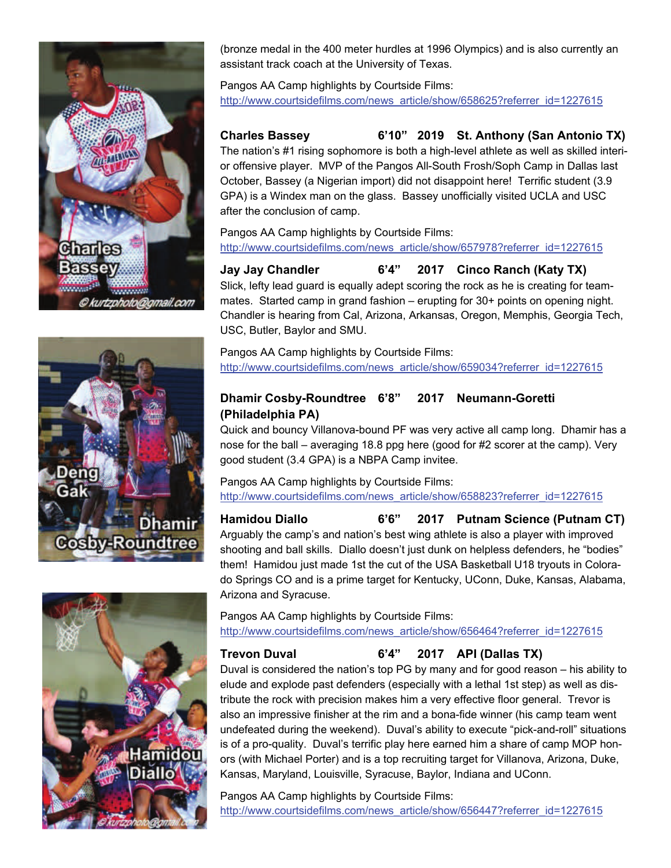





(bronze medal in the 400 meter hurdles at 1996 Olympics) and is also currently an assistant track coach at the University of Texas.

Pangos AA Camp highlights by Courtside Films: [http://www.courtsidefilms.com/news\\_article/show/658625?referrer\\_id=1227615](http://www.courtsidefilms.com/news_article/show/658625?referrer_id=1227615%20C:\Users\Scott%20Anderson.SCOTT-PC\Documents\ArcSoft%20MediaConverter)

**Charles Bassey 6'10" 2019 St. Anthony (San Antonio TX)** The nation's #1 rising sophomore is both a high-level athlete as well as skilled interior offensive player. MVP of the Pangos All-South Frosh/Soph Camp in Dallas last October, Bassey (a Nigerian import) did not disappoint here! Terrific student (3.9 GPA) is a Windex man on the glass. Bassey unofficially visited UCLA and USC after the conclusion of camp.

Pangos AA Camp highlights by Courtside Films: [http://www.courtsidefilms.com/news\\_article/show/657978?referrer\\_id=1227615](http://www.courtsidefilms.com/news_article/show/657978?referrer_id=1227615%20C:\Users\Scott%20Anderson.SCOTT-PC\Documents\ArcSoft%20MediaConverter)

**Jay Jay Chandler 6'4" 2017 Cinco Ranch (Katy TX)** Slick, lefty lead guard is equally adept scoring the rock as he is creating for teammates. Started camp in grand fashion – erupting for 30+ points on opening night. Chandler is hearing from Cal, Arizona, Arkansas, Oregon, Memphis, Georgia Tech, USC, Butler, Baylor and SMU.

Pangos AA Camp highlights by Courtside Films: [http://www.courtsidefilms.com/news\\_article/show/659034?referrer\\_id=1227615](http://www.courtsidefilms.com/news_article/show/659034?referrer_id=1227615%20C:\Users\Scott%20Anderson.SCOTT-PC\Documents\ArcSoft%20MediaConverter)

# **Dhamir Cosby-Roundtree 6'8" 2017 Neumann-Goretti (Philadelphia PA)**

Quick and bouncy Villanova-bound PF was very active all camp long. Dhamir has a nose for the ball – averaging 18.8 ppg here (good for #2 scorer at the camp). Very good student (3.4 GPA) is a NBPA Camp invitee.

Pangos AA Camp highlights by Courtside Films: [http://www.courtsidefilms.com/news\\_article/show/658823?referrer\\_id=1227615](http://www.courtsidefilms.com/news_article/show/658823?referrer_id=1227615)

**Hamidou Diallo 6'6" 2017 Putnam Science (Putnam CT)** Arguably the camp's and nation's best wing athlete is also a player with improved shooting and ball skills. Diallo doesn't just dunk on helpless defenders, he "bodies" them! Hamidou just made 1st the cut of the USA Basketball U18 tryouts in Colorado Springs CO and is a prime target for Kentucky, UConn, Duke, Kansas, Alabama, Arizona and Syracuse.

Pangos AA Camp highlights by Courtside Films: [http://www.courtsidefilms.com/news\\_article/show/656464?referrer\\_id=1227615](http://www.courtsidefilms.com/news_article/show/656464?referrer_id=1227615%20C:\Users\Scott%20Anderson.SCOTT-PC\Documents\ArcSoft%20MediaConverter)

**Trevon Duval 6'4" 2017 API (Dallas TX)**

Duval is considered the nation's top PG by many and for good reason – his ability to elude and explode past defenders (especially with a lethal 1st step) as well as distribute the rock with precision makes him a very effective floor general. Trevor is also an impressive finisher at the rim and a bona-fide winner (his camp team went undefeated during the weekend). Duval's ability to execute "pick-and-roll" situations is of a pro-quality. Duval's terrific play here earned him a share of camp MOP honors (with Michael Porter) and is a top recruiting target for Villanova, Arizona, Duke, Kansas, Maryland, Louisville, Syracuse, Baylor, Indiana and UConn.

Pangos AA Camp highlights by Courtside Films: [http://www.courtsidefilms.com/news\\_article/show/656447?referrer\\_id=1227615](http://www.courtsidefilms.com/news_article/show/656447?referrer_id=1227615%20C:\Users\Scott%20Anderson.SCOTT-PC\Documents\ArcSoft%20MediaConverter)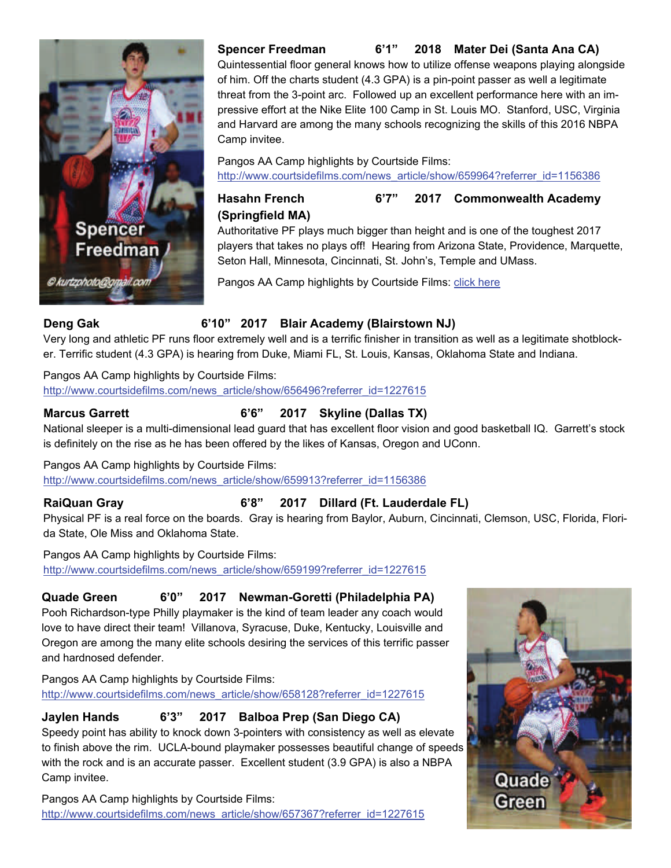

# **Spencer Freedman 6'1" 2018 Mater Dei (Santa Ana CA)**

Quintessential floor general knows how to utilize offense weapons playing alongside of him. Off the charts student (4.3 GPA) is a pin-point passer as well a legitimate threat from the 3-point arc. Followed up an excellent performance here with an impressive effort at the Nike Elite 100 Camp in St. Louis MO. Stanford, USC, Virginia and Harvard are among the many schools recognizing the skills of this 2016 NBPA Camp invitee.

Pangos AA Camp highlights by Courtside Films: [http://www.courtsidefilms.com/news\\_article/show/659964?referrer\\_id=1156386](http://www.courtsidefilms.com/news_article/show/659964?referrer_id=1156386C:\Users\Scott%20Anderson.SCOTT-PC\Documents\ArcSoft%20MediaConverter)

**Hasahn French 6'7" 2017 Commonwealth Academy (Springfield MA)**

Authoritative PF plays much bigger than height and is one of the toughest 2017 players that takes no plays off! Hearing from Arizona State, Providence, Marquette, Seton Hall, Minnesota, Cincinnati, St. John's, Temple and UMass.

Pangos AA Camp highlights by Courtside Films: [click here](http://www.courtsidefilms.com/news_article/show/657595?referrer_id=1227615C:\Users\Scott%20Anderson.SCOTT-PC\Documents\ArcSoft%20MediaConverterC:\Users\Scott%20Anderson.SCOTT-PC\Documents\ArcSoft%20MediaConverter)

# **Deng Gak 6'10" 2017 Blair Academy (Blairstown NJ)**

Very long and athletic PF runs floor extremely well and is a terrific finisher in transition as well as a legitimate shotblocker. Terrific student (4.3 GPA) is hearing from Duke, Miami FL, St. Louis, Kansas, Oklahoma State and Indiana.

### Pangos AA Camp highlights by Courtside Films:

[http://www.courtsidefilms.com/news\\_article/show/656496?referrer\\_id=1227615](http://www.courtsidefilms.com/news_article/show/656496?referrer_id=1227615C:\Users\Scott%20Anderson.SCOTT-PC\Documents\ArcSoft%20MediaConverter)

# **Marcus Garrett 6'6" 2017 Skyline (Dallas TX)**

National sleeper is a multi-dimensional lead guard that has excellent floor vision and good basketball IQ. Garrett's stock is definitely on the rise as he has been offered by the likes of Kansas, Oregon and UConn.

#### Pangos AA Camp highlights by Courtside Films:

http://www.courtsidefilms.com/news\_article/show/659913?referrer\_id=1156386

# **RaiQuan Gray 6'8" 2017 Dillard (Ft. Lauderdale FL)**

Physical PF is a real force on the boards. Gray is hearing from Baylor, Auburn, Cincinnati, Clemson, USC, Florida, Florida State, Ole Miss and Oklahoma State.

Pangos AA Camp highlights by Courtside Films: http://www.courtsidefilms.com/news\_article/show/659199?referrer\_id=1227615

### **Quade Green 6'0" 2017 Newman-Goretti (Philadelphia PA)**

Pooh Richardson-type Philly playmaker is the kind of team leader any coach would love to have direct their team! Villanova, Syracuse, Duke, Kentucky, Louisville and Oregon are among the many elite schools desiring the services of this terrific passer and hardnosed defender.

Pangos AA Camp highlights by Courtside Films: [http://www.courtsidefilms.com/news\\_article/show/658128?referrer\\_id=1227615](http://www.courtsidefilms.com/news_article/show/658128?referrer_id=1227615C:\Users\Scott%20Anderson.SCOTT-PC\Documents\ArcSoft%20MediaConverter)

# **Jaylen Hands 6'3" 2017 Balboa Prep (San Diego CA)**

Speedy point has ability to knock down 3-pointers with consistency as well as elevate to finish above the rim. UCLA-bound playmaker possesses beautiful change of speeds with the rock and is an accurate passer. Excellent student (3.9 GPA) is also a NBPA Camp invitee.

Pangos AA Camp highlights by Courtside Films: [http://www.courtsidefilms.com/news\\_article/show/657367?referrer\\_id=1227615](http://www.courtsidefilms.com/news_article/show/657367?referrer_id=1227615)

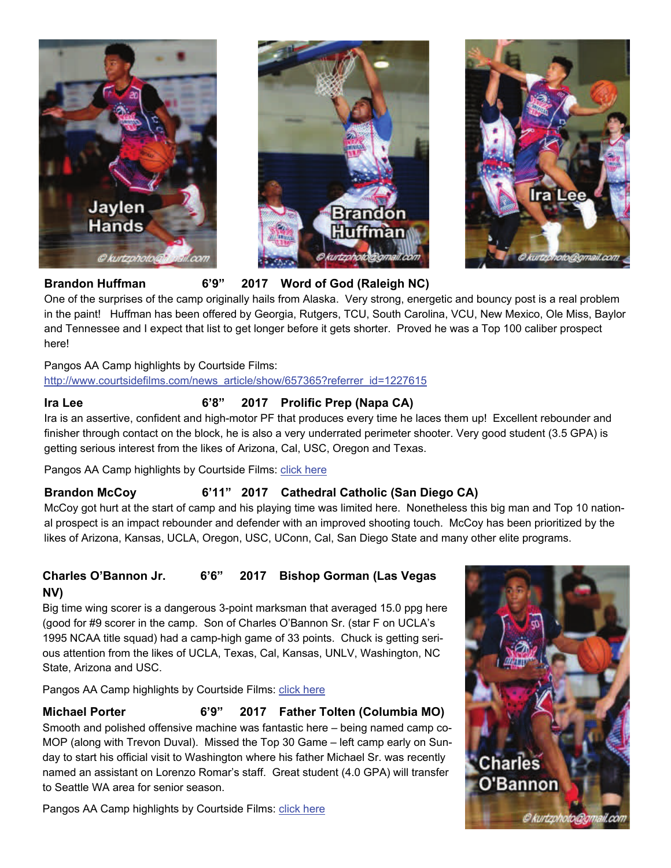





**Brandon Huffman 6'9" 2017 Word of God (Raleigh NC)**

One of the surprises of the camp originally hails from Alaska. Very strong, energetic and bouncy post is a real problem in the paint! Huffman has been offered by Georgia, Rutgers, TCU, South Carolina, VCU, New Mexico, Ole Miss, Baylor and Tennessee and I expect that list to get longer before it gets shorter. Proved he was a Top 100 caliber prospect here!

Pangos AA Camp highlights by Courtside Films:

[http://www.courtsidefilms.com/news\\_article/show/657365?referrer\\_id=1227615](http://www.courtsidefilms.com/news_article/show/657365?referrer_id=1227615C:\Users\Scott%20Anderson.SCOTT-PC\Documents\ArcSoft%20MediaConverter)

# Ira Lee 6'8" 2017 Prolific Prep (Napa CA)

Ira is an assertive, confident and high-motor PF that produces every time he laces them up! Excellent rebounder and finisher through contact on the block, he is also a very underrated perimeter shooter. Very good student (3.5 GPA) is getting serious interest from the likes of Arizona, Cal, USC, Oregon and Texas.

Pangos AA Camp highlights by Courtside Films: [click here](http://www.courtsidefilms.com/news_article/show/657716?referrer_id=1227615C:\Users\Scott%20Anderson.SCOTT-PC\Documents\ArcSoft%20MediaConverter)

#### **Brandon McCoy 6'11" 2017 Cathedral Catholic (San Diego CA)**

McCoy got hurt at the start of camp and his playing time was limited here. Nonetheless this big man and Top 10 national prospect is an impact rebounder and defender with an improved shooting touch. McCoy has been prioritized by the likes of Arizona, Kansas, UCLA, Oregon, USC, UConn, Cal, San Diego State and many other elite programs.

# **Charles O'Bannon Jr. 6'6" 2017 Bishop Gorman (Las Vegas NV)**

Big time wing scorer is a dangerous 3-point marksman that averaged 15.0 ppg here (good for #9 scorer in the camp. Son of Charles O'Bannon Sr. (star F on UCLA's 1995 NCAA title squad) had a camp-high game of 33 points. Chuck is getting serious attention from the likes of UCLA, Texas, Cal, Kansas, UNLV, Washington, NC State, Arizona and USC.

Pangos AA Camp highlights by Courtside Films: [click here](http://www.courtsidefilms.com/news_article/show/658503?referrer_id=1227615C:\Users\Scott%20Anderson.SCOTT-PC\Documents\ArcSoft%20MediaConverter)

### **Michael Porter 6'9" 2017 Father Tolten (Columbia MO)**

Smooth and polished offensive machine was fantastic here – being named camp co-MOP (along with Trevon Duval). Missed the Top 30 Game – left camp early on Sunday to start his official visit to Washington where his father Michael Sr. was recently named an assistant on Lorenzo Romar's staff. Great student (4.0 GPA) will transfer to Seattle WA area for senior season.

Pangos AA Camp highlights by Courtside Films: [click here](http://www.courtsidefilms.com/news_article/show/656315?referrer_id=1227615C:\Users\Scott%20Anderson.SCOTT-PC\Documents\ArcSoft%20MediaConverter) 

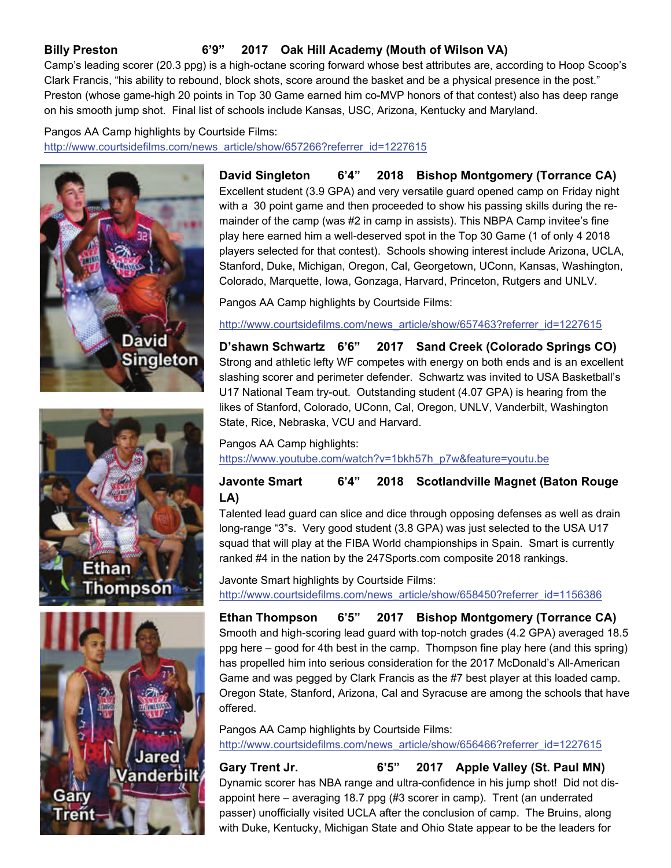# **Billy Preston 6'9" 2017 Oak Hill Academy (Mouth of Wilson VA)**

Camp's leading scorer (20.3 ppg) is a high-octane scoring forward whose best attributes are, according to Hoop Scoop's Clark Francis, "his ability to rebound, block shots, score around the basket and be a physical presence in the post." Preston (whose game-high 20 points in Top 30 Game earned him co-MVP honors of that contest) also has deep range on his smooth jump shot. Final list of schools include Kansas, USC, Arizona, Kentucky and Maryland.

# Pangos AA Camp highlights by Courtside Films: [http://www.courtsidefilms.com/news\\_article/show/657266?referrer\\_id=1227615](http://www.courtsidefilms.com/news_article/show/657266?referrer_id=1227615%20%20C:\Users\Scott%20Anderson.SCOTT-PC\Documents\ArcSoft%20MediaConverter)







**David Singleton 6'4" 2018 Bishop Montgomery (Torrance CA)** Excellent student (3.9 GPA) and very versatile guard opened camp on Friday night with a 30 point game and then proceeded to show his passing skills during the remainder of the camp (was #2 in camp in assists). This NBPA Camp invitee's fine play here earned him a well-deserved spot in the Top 30 Game (1 of only 4 2018 players selected for that contest). Schools showing interest include Arizona, UCLA, Stanford, Duke, Michigan, Oregon, Cal, Georgetown, UConn, Kansas, Washington, Colorado, Marquette, Iowa, Gonzaga, Harvard, Princeton, Rutgers and UNLV.

Pangos AA Camp highlights by Courtside Films:

[http://www.courtsidefilms.com/news\\_article/show/657463?referrer\\_id=1227615](http://www.courtsidefilms.com/news_article/show/657463?referrer_id=1227615%20%20C:\Users\Scott%20Anderson.SCOTT-PC\Documents\ArcSoft%20MediaConverter)

**D'shawn Schwartz 6'6" 2017 Sand Creek (Colorado Springs CO)** Strong and athletic lefty WF competes with energy on both ends and is an excellent slashing scorer and perimeter defender. Schwartz was invited to USA Basketball's U17 National Team try-out. Outstanding student (4.07 GPA) is hearing from the likes of Stanford, Colorado, UConn, Cal, Oregon, UNLV, Vanderbilt, Washington State, Rice, Nebraska, VCU and Harvard.

### Pangos AA Camp highlights: [https://www.youtube.com/watch?v=1bkh57h\\_p7w&feature=youtu.be](https://www.youtube.com/watch?v=1bkh57h_p7w&feature=youtu.beC:\Users\Scott%20Anderson.SCOTT-PC\Documents\ArcSoft%20MediaConverter)

# **Javonte Smart 6'4" 2018 Scotlandville Magnet (Baton Rouge LA)**

Talented lead guard can slice and dice through opposing defenses as well as drain long-range "3"s. Very good student (3.8 GPA) was just selected to the USA U17 squad that will play at the FIBA World championships in Spain. Smart is currently ranked #4 in the nation by the 247Sports.com composite 2018 rankings.

Javonte Smart highlights by Courtside Films: [http://www.courtsidefilms.com/news\\_article/show/658450?referrer\\_id=1156386](http://www.courtsidefilms.com/news_article/show/658450?referrer_id=1156386%20C:\Users\Scott%20Anderson.SCOTT-PC\Documents\ArcSoft%20MediaConverter)

**Ethan Thompson 6'5" 2017 Bishop Montgomery (Torrance CA)** Smooth and high-scoring lead guard with top-notch grades (4.2 GPA) averaged 18.5 ppg here – good for 4th best in the camp. Thompson fine play here (and this spring) has propelled him into serious consideration for the 2017 McDonald's All-American Game and was pegged by Clark Francis as the #7 best player at this loaded camp. Oregon State, Stanford, Arizona, Cal and Syracuse are among the schools that have offered.

Pangos AA Camp highlights by Courtside Films: [http://www.courtsidefilms.com/news\\_article/show/656466?referrer\\_id=1227615](http://www.courtsidefilms.com/news_article/show/656466?referrer_id=1227615C:\Users\Scott%20Anderson.SCOTT-PC\Documents\ArcSoft%20MediaConverter)

Gary Trent Jr. 6'5" 2017 Apple Valley (St. Paul MN) Dynamic scorer has NBA range and ultra-confidence in his jump shot! Did not disappoint here – averaging 18.7 ppg (#3 scorer in camp). Trent (an underrated passer) unofficially visited UCLA after the conclusion of camp. The Bruins, along with Duke, Kentucky, Michigan State and Ohio State appear to be the leaders for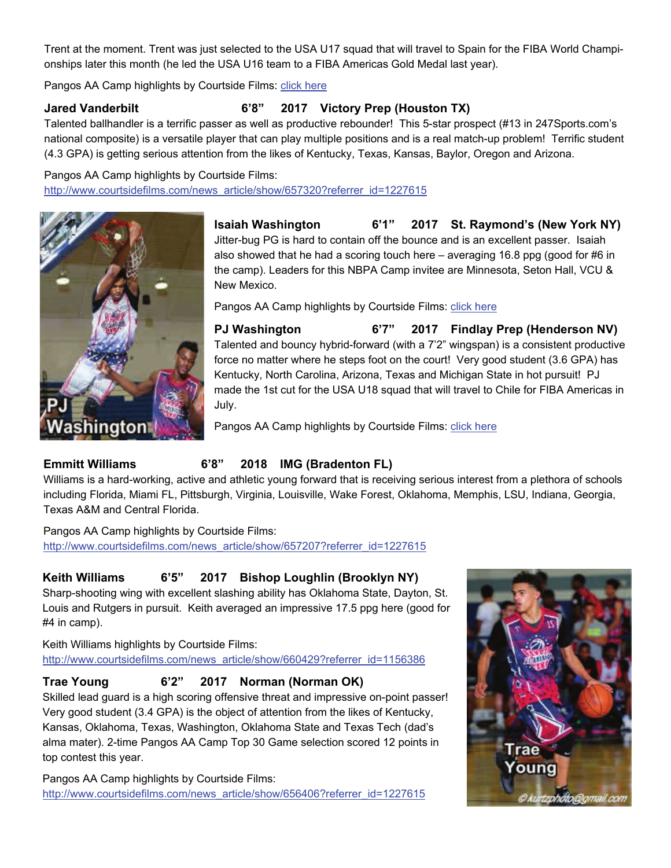Trent at the moment. Trent was just selected to the USA U17 squad that will travel to Spain for the FIBA World Championships later this month (he led the USA U16 team to a FIBA Americas Gold Medal last year).

Pangos AA Camp highlights by Courtside Films: [click here](http://www.courtsidefilms.com/news_article/show/656940?referrer_id=1227615C:\Users\Scott%20Anderson.SCOTT-PC\Documents\ArcSoft%20MediaConverter)

**Jared Vanderbilt 6'8" 2017 Victory Prep (Houston TX)**

Talented ballhandler is a terrific passer as well as productive rebounder! This 5-star prospect (#13 in 247Sports.com's national composite) is a versatile player that can play multiple positions and is a real match-up problem! Terrific student (4.3 GPA) is getting serious attention from the likes of Kentucky, Texas, Kansas, Baylor, Oregon and Arizona.

Pangos AA Camp highlights by Courtside Films: [http://www.courtsidefilms.com/news\\_article/show/657320?referrer\\_id=1227615](http://www.courtsidefilms.com/news_article/show/657320?referrer_id=1227615%20%20%20%20C:\Users\Scott%20Anderson.SCOTT-PC\Documents\ArcSoft%20MediaConverter)



**Isaiah Washington 6'1" 2017 St. Raymond's (New York NY)** Jitter-bug PG is hard to contain off the bounce and is an excellent passer. Isaiah also showed that he had a scoring touch here – averaging 16.8 ppg (good for #6 in the camp). Leaders for this NBPA Camp invitee are Minnesota, Seton Hall, VCU & New Mexico.

Pangos AA Camp highlights by Courtside Films: click here

**PJ Washington 6'7" 2017 Findlay Prep (Henderson NV)** Talented and bouncy hybrid-forward (with a 7'2" wingspan) is a consistent productive force no matter where he steps foot on the court! Very good student (3.6 GPA) has Kentucky, North Carolina, Arizona, Texas and Michigan State in hot pursuit! PJ made the 1st cut for the USA U18 squad that will travel to Chile for FIBA Americas in July.

Pangos AA Camp highlights by Courtside Films: [click here](http://www.courtsidefilms.com/news_article/show/657713?referrer_id=1227615%20%20C:\Users\Scott%20Anderson.SCOTT-PC\Documents\ArcSoft%20MediaConverter) 

### **Emmitt Williams 6'8" 2018 IMG (Bradenton FL)**

Williams is a hard-working, active and athletic young forward that is receiving serious interest from a plethora of schools including Florida, Miami FL, Pittsburgh, Virginia, Louisville, Wake Forest, Oklahoma, Memphis, LSU, Indiana, Georgia, Texas A&M and Central Florida.

Pangos AA Camp highlights by Courtside Films: http://www.courtsidefilms.com/news\_article/show/657207?referrer\_id=1227615

# **Keith Williams 6'5" 2017 Bishop Loughlin (Brooklyn NY)**

Sharp-shooting wing with excellent slashing ability has Oklahoma State, Dayton, St. Louis and Rutgers in pursuit. Keith averaged an impressive 17.5 ppg here (good for #4 in camp).

Keith Williams highlights by Courtside Films: [http://www.courtsidefilms.com/news\\_article/show/660429?referrer\\_id=1156386](http://www.courtsidefilms.com/news_article/show/660429?referrer_id=1156386C:\Users\Scott%20Anderson.SCOTT-PC\Documents\ArcSoft%20MediaConverter)

# **Trae Young 6'2" 2017 Norman (Norman OK)**

Skilled lead guard is a high scoring offensive threat and impressive on-point passer! Very good student (3.4 GPA) is the object of attention from the likes of Kentucky, Kansas, Oklahoma, Texas, Washington, Oklahoma State and Texas Tech (dad's alma mater). 2-time Pangos AA Camp Top 30 Game selection scored 12 points in top contest this year.

Pangos AA Camp highlights by Courtside Films: [http://www.courtsidefilms.com/news\\_article/show/656406?referrer\\_id=1227615](http://www.courtsidefilms.com/news_article/show/656406?referrer_id=1227615%20%20%20C:\Users\Scott%20Anderson.SCOTT-PC\Documents\ArcSoft%20MediaConverter)

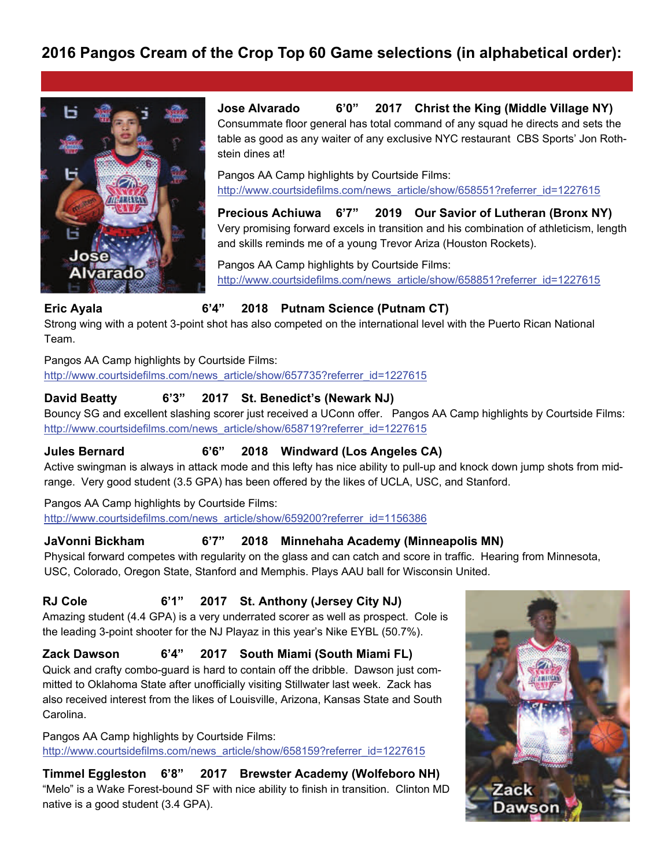# **2016 Pangos Cream of the Crop Top 60 Game selections (in alphabetical order):**



**Jose Alvarado 6'0" 2017 Christ the King (Middle Village NY)** Consummate floor general has total command of any squad he directs and sets the table as good as any waiter of any exclusive NYC restaurant CBS Sports' Jon Rothstein dines at!

Pangos AA Camp highlights by Courtside Films: http://www.courtsidefilms.com/news\_article/show/658551?referrer\_id=1227615

**Precious Achiuwa 6'7" 2019 Our Savior of Lutheran (Bronx NY)** Very promising forward excels in transition and his combination of athleticism, length and skills reminds me of a young Trevor Ariza (Houston Rockets).

Pangos AA Camp highlights by Courtside Films: [http://www.courtsidefilms.com/news\\_article/show/658851?referrer\\_id=1227615](http://www.courtsidefilms.com/news_article/show/658851?referrer_id=1227615C:\Users\Scott%20Anderson.SCOTT-PC\Documents\ArcSoft%20MediaConverter)

#### **Eric Ayala 6'4" 2018 Putnam Science (Putnam CT)**

Strong wing with a potent 3-point shot has also competed on the international level with the Puerto Rican National Team.

Pangos AA Camp highlights by Courtside Films:

[http://www.courtsidefilms.com/news\\_article/show/657735?referrer\\_id=1227615](http://www.courtsidefilms.com/news_article/show/657735?referrer_id=1227615C:\Users\Scott%20Anderson.SCOTT-PC\Documents\ArcSoft%20MediaConverter)

# **David Beatty 6'3" 2017 St. Benedict's (Newark NJ)**

Bouncy SG and excellent slashing scorer just received a UConn offer. Pangos AA Camp highlights by Courtside Films: [http://www.courtsidefilms.com/news\\_article/show/658719?referrer\\_id=1227615](http://www.courtsidefilms.com/news_article/show/658719?referrer_id=1227615C:\Users\Scott%20Anderson.SCOTT-PC\Documents\ArcSoft%20MediaConverter)

#### **Jules Bernard 6'6" 2018 Windward (Los Angeles CA)**

Active swingman is always in attack mode and this lefty has nice ability to pull-up and knock down jump shots from midrange. Very good student (3.5 GPA) has been offered by the likes of UCLA, USC, and Stanford.

#### Pangos AA Camp highlights by Courtside Films:

[http://www.courtsidefilms.com/news\\_article/show/659200?referrer\\_id=1156386](http://www.courtsidefilms.com/news_article/show/659200?referrer_id=1156386C:\Users\Scott%20Anderson.SCOTT-PC\Documents\ArcSoft%20MediaConverter)

#### **JaVonni Bickham 6'7" 2018 Minnehaha Academy (Minneapolis MN)**

Physical forward competes with regularity on the glass and can catch and score in traffic. Hearing from Minnesota, USC, Colorado, Oregon State, Stanford and Memphis. Plays AAU ball for Wisconsin United.

### **RJ Cole 6'1" 2017 St. Anthony (Jersey City NJ)**

Amazing student (4.4 GPA) is a very underrated scorer as well as prospect. Cole is the leading 3-point shooter for the NJ Playaz in this year's Nike EYBL (50.7%).

#### **Zack Dawson 6'4" 2017 South Miami (South Miami FL)**

Quick and crafty combo-guard is hard to contain off the dribble. Dawson just committed to Oklahoma State after unofficially visiting Stillwater last week. Zack has also received interest from the likes of Louisville, Arizona, Kansas State and South Carolina.

Pangos AA Camp highlights by Courtside Films: [http://www.courtsidefilms.com/news\\_article/show/658159?referrer\\_id=1227615](http://www.courtsidefilms.com/news_article/show/658159?referrer_id=1227615C:\Users\Scott%20Anderson.SCOTT-PC\Documents\ArcSoft%20MediaConverter)

**Timmel Eggleston 6'8" 2017 Brewster Academy (Wolfeboro NH)** "Melo" is a Wake Forest-bound SF with nice ability to finish in transition. Clinton MD native is a good student (3.4 GPA).

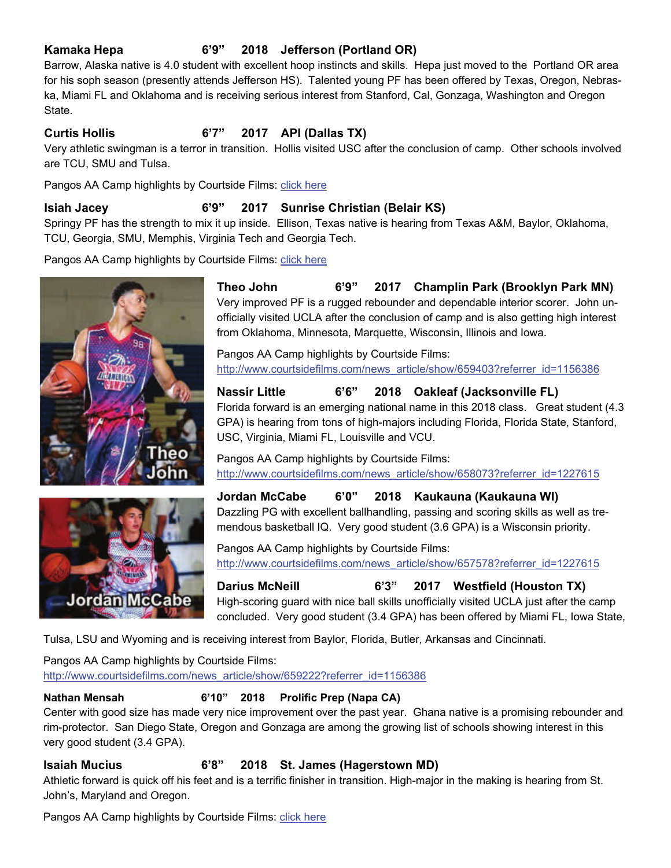#### **Kamaka Hepa 6'9" 2018 Jefferson (Portland OR)**

Barrow, Alaska native is 4.0 student with excellent hoop instincts and skills. Hepa just moved to the Portland OR area for his soph season (presently attends Jefferson HS). Talented young PF has been offered by Texas, Oregon, Nebraska, Miami FL and Oklahoma and is receiving serious interest from Stanford, Cal, Gonzaga, Washington and Oregon State.

# **Curtis Hollis 6'7" 2017 API (Dallas TX)**

Very athletic swingman is a terror in transition. Hollis visited USC after the conclusion of camp. Other schools involved are TCU, SMU and Tulsa.

Pangos AA Camp highlights by Courtside Films: [click here](http://www.courtsidefilms.com/news_article/show/659045?referrer_id=1227615C:\Users\Scott%20Anderson.SCOTT-PC\Documents\ArcSoft%20MediaConverter)

# **Isiah Jacey 6'9" 2017 Sunrise Christian (Belair KS)**

Springy PF has the strength to mix it up inside. Ellison, Texas native is hearing from Texas A&M, Baylor, Oklahoma, TCU, Georgia, SMU, Memphis, Virginia Tech and Georgia Tech.

Pangos AA Camp highlights by Courtside Films: [click here](http://www.courtsidefilms.com/news_article/show/659584?referrer_id=1156386C:\Users\Scott%20Anderson.SCOTT-PC\Documents\ArcSoft%20MediaConverter)





**Theo John 6'9" 2017 Champlin Park (Brooklyn Park MN)** Very improved PF is a rugged rebounder and dependable interior scorer. John unofficially visited UCLA after the conclusion of camp and is also getting high interest from Oklahoma, Minnesota, Marquette, Wisconsin, Illinois and Iowa.

Pangos AA Camp highlights by Courtside Films: [http://www.courtsidefilms.com/news\\_article/show/659403?referrer\\_id=1156386](http://www.courtsidefilms.com/news_article/show/659403?referrer_id=1156386%20C:\Users\Scott%20Anderson.SCOTT-PC\Documents\ArcSoft%20MediaConverter)

#### **Nassir Little 6'6" 2018 Oakleaf (Jacksonville FL)**

Florida forward is an emerging national name in this 2018 class. Great student (4.3 GPA) is hearing from tons of high-majors including Florida, Florida State, Stanford, USC, Virginia, Miami FL, Louisville and VCU.

Pangos AA Camp highlights by Courtside Films: [http://www.courtsidefilms.com/news\\_article/show/658073?referrer\\_id=1227615](http://www.courtsidefilms.com/news_article/show/658073?referrer_id=1227615%20C:\Users\Scott%20Anderson.SCOTT-PC\Documents\ArcSoft%20MediaConverter)

# **Jordan McCabe 6'0" 2018 Kaukauna (Kaukauna WI)**

Dazzling PG with excellent ballhandling, passing and scoring skills as well as tremendous basketball IQ. Very good student (3.6 GPA) is a Wisconsin priority.

Pangos AA Camp highlights by Courtside Films: [http://www.courtsidefilms.com/news\\_article/show/657578?referrer\\_id=1227615](http://www.courtsidefilms.com/news_article/show/657578?referrer_id=1227615C:\Users\Scott%20Anderson.SCOTT-PC\Documents\ArcSoft%20MediaConverter)

**Darius McNeill 6'3" 2017 Westfield (Houston TX)** High-scoring guard with nice ball skills unofficially visited UCLA just after the camp concluded. Very good student (3.4 GPA) has been offered by Miami FL, Iowa State,

Tulsa, LSU and Wyoming and is receiving interest from Baylor, Florida, Butler, Arkansas and Cincinnati.

# Pangos AA Camp highlights by Courtside Films:

http://www.courtsidefilms.com/news\_article/show/659222?referrer\_id=1156386

#### **Nathan Mensah 6'10" 2018 Prolific Prep (Napa CA)**

Center with good size has made very nice improvement over the past year. Ghana native is a promising rebounder and rim-protector. San Diego State, Oregon and Gonzaga are among the growing list of schools showing interest in this very good student (3.4 GPA).

### **Isaiah Mucius 6'8" 2018 St. James (Hagerstown MD)**

Athletic forward is quick off his feet and is a terrific finisher in transition. High-major in the making is hearing from St. John's, Maryland and Oregon.

Pangos AA Camp highlights by Courtside Films: [click here](http://www.courtsidefilms.com/news_article/show/657992?referrer_id=1227615%20C:\Users\Scott%20Anderson.SCOTT-PC\Documents\ArcSoft%20MediaConverter)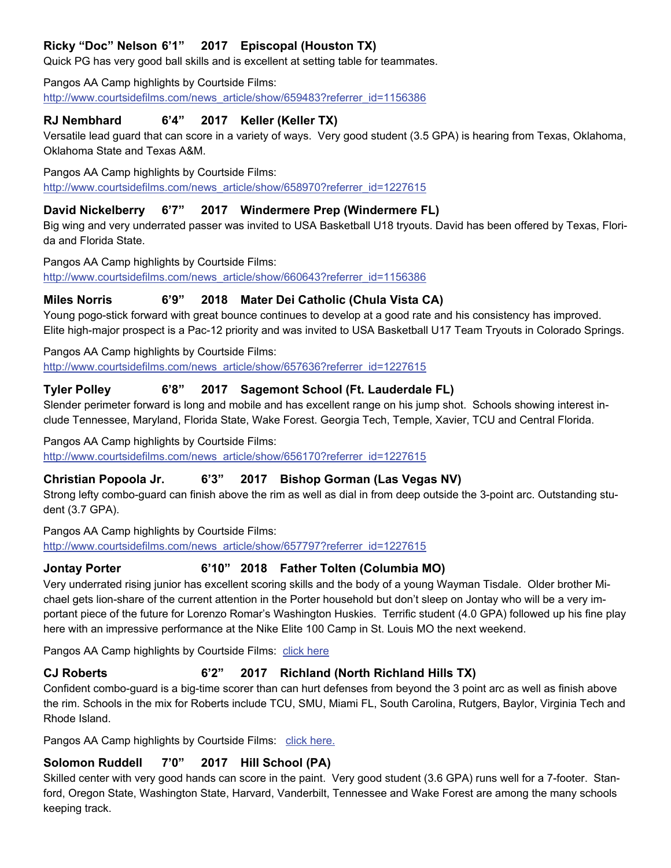# **Ricky "Doc" Nelson 6'1" 2017 Episcopal (Houston TX)**

Quick PG has very good ball skills and is excellent at setting table for teammates.

#### Pangos AA Camp highlights by Courtside Films:

http://www.courtsidefilms.com/news\_article/show/659483?referrer\_id=1156386

#### **RJ Nembhard 6'4" 2017 Keller (Keller TX)**

Versatile lead guard that can score in a variety of ways. Very good student (3.5 GPA) is hearing from Texas, Oklahoma, Oklahoma State and Texas A&M.

Pangos AA Camp highlights by Courtside Films:

http://www.courtsidefilms.com/news\_article/show/658970?referrer\_id=1227615

#### **David Nickelberry 6'7" 2017 Windermere Prep (Windermere FL)**

Big wing and very underrated passer was invited to USA Basketball U18 tryouts. David has been offered by Texas, Florida and Florida State.

Pangos AA Camp highlights by Courtside Films:

[http://www.courtsidefilms.com/news\\_article/show/660643?referrer\\_id=1156386](http://www.courtsidefilms.com/news_article/show/660643?referrer_id=1156386C:\Users\Scott%20Anderson.SCOTT-PC\Documents\ArcSoft%20MediaConverter)

#### **Miles Norris 6'9" 2018 Mater Dei Catholic (Chula Vista CA)**

Young pogo-stick forward with great bounce continues to develop at a good rate and his consistency has improved. Elite high-major prospect is a Pac-12 priority and was invited to USA Basketball U17 Team Tryouts in Colorado Springs.

Pangos AA Camp highlights by Courtside Films:

[http://www.courtsidefilms.com/news\\_article/show/657636?referrer\\_id=1227615](http://www.courtsidefilms.com/news_article/show/657636?referrer_id=1227615C:\Users\Scott%20Anderson.SCOTT-PC\Documents\ArcSoft%20MediaConverter)

#### **Tyler Polley 6'8" 2017 Sagemont School (Ft. Lauderdale FL)**

Slender perimeter forward is long and mobile and has excellent range on his jump shot. Schools showing interest include Tennessee, Maryland, Florida State, Wake Forest. Georgia Tech, Temple, Xavier, TCU and Central Florida.

Pangos AA Camp highlights by Courtside Films:

[http://www.courtsidefilms.com/news\\_article/show/656170?referrer\\_id=1227615](http://www.courtsidefilms.com/news_article/show/656170?referrer_id=1227615C:\Users\Scott%20Anderson.SCOTT-PC\Documents\ArcSoft%20MediaConverter)

#### **Christian Popoola Jr. 6'3" 2017 Bishop Gorman (Las Vegas NV)**

Strong lefty combo-guard can finish above the rim as well as dial in from deep outside the 3-point arc. Outstanding student (3.7 GPA).

Pangos AA Camp highlights by Courtside Films:

[http://www.courtsidefilms.com/news\\_article/show/657797?referrer\\_id=1227615](http://www.courtsidefilms.com/news_article/show/657797?referrer_id=1227615C:\Users\Scott%20Anderson.SCOTT-PC\Documents\ArcSoft%20MediaConverter)

#### **Jontay Porter 6'10" 2018 Father Tolten (Columbia MO)**

Very underrated rising junior has excellent scoring skills and the body of a young Wayman Tisdale. Older brother Michael gets lion-share of the current attention in the Porter household but don't sleep on Jontay who will be a very important piece of the future for Lorenzo Romar's Washington Huskies. Terrific student (4.0 GPA) followed up his fine play here with an impressive performance at the Nike Elite 100 Camp in St. Louis MO the next weekend.

Pangos AA Camp highlights by Courtside Films: [click here](http://www.courtsidefilms.com/news_article/show/660625?referrer_id=115638C:\Users\Scott%20Anderson.SCOTT-PC\Documents\ArcSoft%20MediaConverter)

#### **CJ Roberts 6'2" 2017 Richland (North Richland Hills TX)**

Confident combo-guard is a big-time scorer than can hurt defenses from beyond the 3 point arc as well as finish above the rim. Schools in the mix for Roberts include TCU, SMU, Miami FL, South Carolina, Rutgers, Baylor, Virginia Tech and Rhode Island.

Pangos AA Camp highlights by Courtside Films: [click here.](http://www.courtsidefilms.com/news_article/show/659201?referrer_id=1227615%20C:\Users\Scott%20Anderson.SCOTT-PC\Documents\ArcSoft%20MediaConverter)

#### **Solomon Ruddell 7'0" 2017 Hill School (PA)**

Skilled center with very good hands can score in the paint. Very good student (3.6 GPA) runs well for a 7-footer. Stanford, Oregon State, Washington State, Harvard, Vanderbilt, Tennessee and Wake Forest are among the many schools keeping track.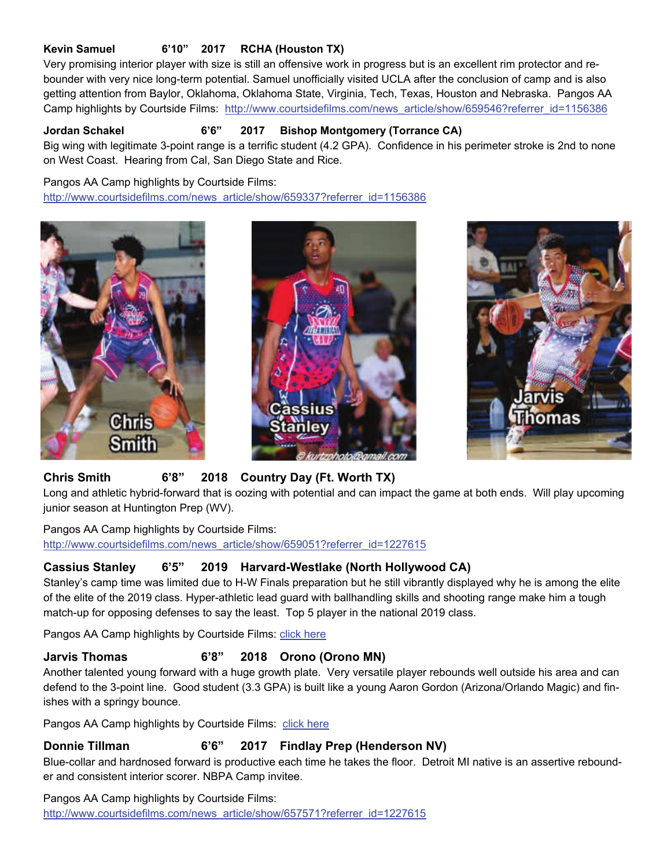### **Kevin Samuel 6'10" 2017 RCHA (Houston TX)**

Very promising interior player with size is still an offensive work in progress but is an excellent rim protector and rebounder with very nice long-term potential. Samuel unofficially visited UCLA after the conclusion of camp and is also getting attention from Baylor, Oklahoma, Oklahoma State, Virginia, Tech, Texas, Houston and Nebraska. Pangos AA Camp highlights by Courtside Films: http://www.courtsidefilms.com/news\_article/show/659546?referrer\_id=1156386

#### **Jordan Schakel 6'6" 2017 Bishop Montgomery (Torrance CA)**

Big wing with legitimate 3-point range is a terrific student (4.2 GPA). Confidence in his perimeter stroke is 2nd to none on West Coast. Hearing from Cal, San Diego State and Rice.

Pangos AA Camp highlights by Courtside Films:

http://www.courtsidefilms.com/news\_article/show/659337?referrer\_id=1156386







### **Chris Smith 6'8" 2018 Country Day (Ft. Worth TX)**

Long and athletic hybrid-forward that is oozing with potential and can impact the game at both ends. Will play upcoming junior season at Huntington Prep (WV).

Pangos AA Camp highlights by Courtside Films: http://www.courtsidefilms.com/news\_article/show/659051?referrer\_id=1227615

### **Cassius Stanley 6'5" 2019 Harvard-Westlake (North Hollywood CA)**

Stanley's camp time was limited due to H-W Finals preparation but he still vibrantly displayed why he is among the elite of the elite of the 2019 class. Hyper-athletic lead guard with ballhandling skills and shooting range make him a tough match-up for opposing defenses to say the least. Top 5 player in the national 2019 class.

Pangos AA Camp highlights by Courtside Films: [click here](http://www.courtsidefilms.com/news_article/show/658087?referrer_id=1227615C:\Users\Scott%20Anderson.SCOTT-PC\Documents\ArcSoft%20MediaConverter) 

# **Jarvis Thomas 6'8" 2018 Orono (Orono MN)**

Another talented young forward with a huge growth plate. Very versatile player rebounds well outside his area and can defend to the 3-point line. Good student (3.3 GPA) is built like a young Aaron Gordon (Arizona/Orlando Magic) and finishes with a springy bounce.

Pangos AA Camp highlights by Courtside Films: click here

### **Donnie Tillman 6'6" 2017 Findlay Prep (Henderson NV)**

Blue-collar and hardnosed forward is productive each time he takes the floor. Detroit MI native is an assertive rebounder and consistent interior scorer. NBPA Camp invitee.

Pangos AA Camp highlights by Courtside Films: http://www.courtsidefilms.com/news\_article/show/657571?referrer\_id=1227615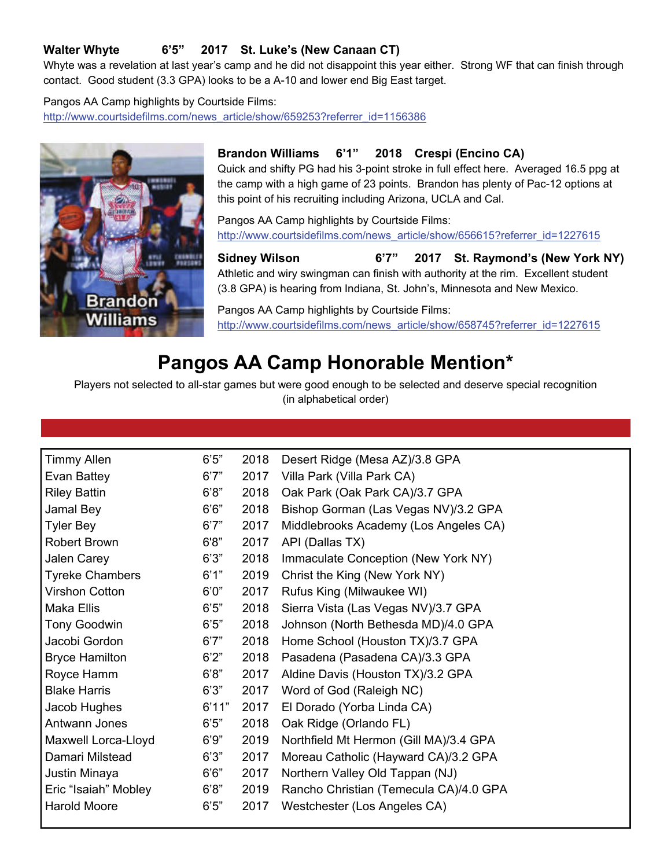# **Walter Whyte 6'5" 2017 St. Luke's (New Canaan CT)**

Whyte was a revelation at last year's camp and he did not disappoint this year either. Strong WF that can finish through contact. Good student (3.3 GPA) looks to be a A-10 and lower end Big East target.

#### Pangos AA Camp highlights by Courtside Films:

http://www.courtsidefilms.com/news\_article/show/659253?referrer\_id=1156386



#### **Brandon Williams 6'1" 2018 Crespi (Encino CA)**

Quick and shifty PG had his 3-point stroke in full effect here. Averaged 16.5 ppg at the camp with a high game of 23 points. Brandon has plenty of Pac-12 options at this point of his recruiting including Arizona, UCLA and Cal.

Pangos AA Camp highlights by Courtside Films: http://www.courtsidefilms.com/news\_article/show/656615?referrer\_id=1227615

**Sidney Wilson 6'7" 2017 St. Raymond's (New York NY)** Athletic and wiry swingman can finish with authority at the rim. Excellent student (3.8 GPA) is hearing from Indiana, St. John's, Minnesota and New Mexico.

Pangos AA Camp highlights by Courtside Films: http://www.courtsidefilms.com/news\_article/show/658745?referrer\_id=1227615

# **Pangos AA Camp Honorable Mention\***

Players not selected to all-star games but were good enough to be selected and deserve special recognition (in alphabetical order)

| <b>Timmy Allen</b>     | 6'5"  | 2018 | Desert Ridge (Mesa AZ)/3.8 GPA         |
|------------------------|-------|------|----------------------------------------|
| Evan Battey            | 6'7'' | 2017 | Villa Park (Villa Park CA)             |
| <b>Riley Battin</b>    | 6'8"  | 2018 | Oak Park (Oak Park CA)/3.7 GPA         |
| Jamal Bey              | 6'6'' | 2018 | Bishop Gorman (Las Vegas NV)/3.2 GPA   |
| <b>Tyler Bey</b>       | 6'7"  | 2017 | Middlebrooks Academy (Los Angeles CA)  |
| Robert Brown           | 6'8"  | 2017 | API (Dallas TX)                        |
| Jalen Carey            | 6'3'' | 2018 | Immaculate Conception (New York NY)    |
| <b>Tyreke Chambers</b> | 6'1"  | 2019 | Christ the King (New York NY)          |
| <b>Virshon Cotton</b>  | 6'0'' | 2017 | Rufus King (Milwaukee WI)              |
| Maka Ellis             | 6'5"  | 2018 | Sierra Vista (Las Vegas NV)/3.7 GPA    |
| <b>Tony Goodwin</b>    | 6'5"  | 2018 | Johnson (North Bethesda MD)/4.0 GPA    |
| Jacobi Gordon          | 6'7"  | 2018 | Home School (Houston TX)/3.7 GPA       |
| <b>Bryce Hamilton</b>  | 6'2"  | 2018 | Pasadena (Pasadena CA)/3.3 GPA         |
| Royce Hamm             | 6'8"  | 2017 | Aldine Davis (Houston TX)/3.2 GPA      |
| <b>Blake Harris</b>    | 6'3'' | 2017 | Word of God (Raleigh NC)               |
| Jacob Hughes           | 6'11" | 2017 | El Dorado (Yorba Linda CA)             |
| Antwann Jones          | 6'5"  | 2018 | Oak Ridge (Orlando FL)                 |
| Maxwell Lorca-Lloyd    | 6'9'' | 2019 | Northfield Mt Hermon (Gill MA)/3.4 GPA |
| Damari Milstead        | 6'3'' | 2017 | Moreau Catholic (Hayward CA)/3.2 GPA   |
| Justin Minaya          | 6'6'' | 2017 | Northern Valley Old Tappan (NJ)        |
| Eric "Isaiah" Mobley   | 6'8"  | 2019 | Rancho Christian (Temecula CA)/4.0 GPA |
| Harold Moore           | 6'5"  | 2017 | Westchester (Los Angeles CA)           |
|                        |       |      |                                        |